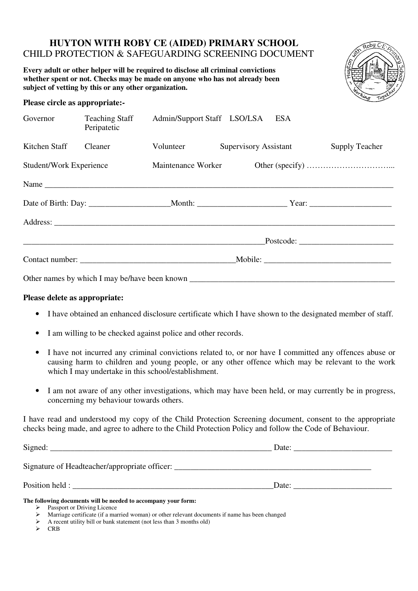# **HUYTON WITH ROBY CE (AIDED) PRIMARY SCHOOL**  CHILD PROTECTION & SAFEGUARDING SCREENING DOCUMENT

**Every adult or other helper will be required to disclose all criminal convictions whether spent or not. Checks may be made on anyone who has not already been subject of vetting by this or any other organization.** 



## **Please circle as appropriate:-**

| Governor                       | <b>Teaching Staff</b><br>Peripatetic | Admin/Support Staff LSO/LSA | <b>ESA</b>            |                         |
|--------------------------------|--------------------------------------|-----------------------------|-----------------------|-------------------------|
| Kitchen Staff                  | Cleaner                              | Volunteer                   | Supervisory Assistant | <b>Supply Teacher</b>   |
| <b>Student/Work Experience</b> |                                      | Maintenance Worker          |                       |                         |
|                                |                                      |                             | Name                  |                         |
|                                |                                      |                             |                       |                         |
|                                |                                      |                             |                       |                         |
|                                |                                      |                             |                       | $_{{\sf Postcode:}} \_$ |
|                                |                                      |                             |                       |                         |
|                                |                                      |                             |                       |                         |

## **Please delete as appropriate:**

- I have obtained an enhanced disclosure certificate which I have shown to the designated member of staff.
- I am willing to be checked against police and other records.
- I have not incurred any criminal convictions related to, or nor have I committed any offences abuse or causing harm to children and young people, or any other offence which may be relevant to the work which I may undertake in this school/establishment.
- I am not aware of any other investigations, which may have been held, or may currently be in progress, concerning my behaviour towards others.

I have read and understood my copy of the Child Protection Screening document, consent to the appropriate checks being made, and agree to adhere to the Child Protection Policy and follow the Code of Behaviour.

| Signed:                                       | Date: |  |
|-----------------------------------------------|-------|--|
| Signature of Headteacher/appropriate officer: |       |  |
| Position held :                               | Date: |  |

#### **The following documents will be needed to accompany your form:**

- $\triangleright$  Passport or Driving Licence
- Marriage certificate (if a married woman) or other relevant documents if name has been changed
- A recent utility bill or bank statement (not less than 3 months old)
- $\triangleright$  CRB